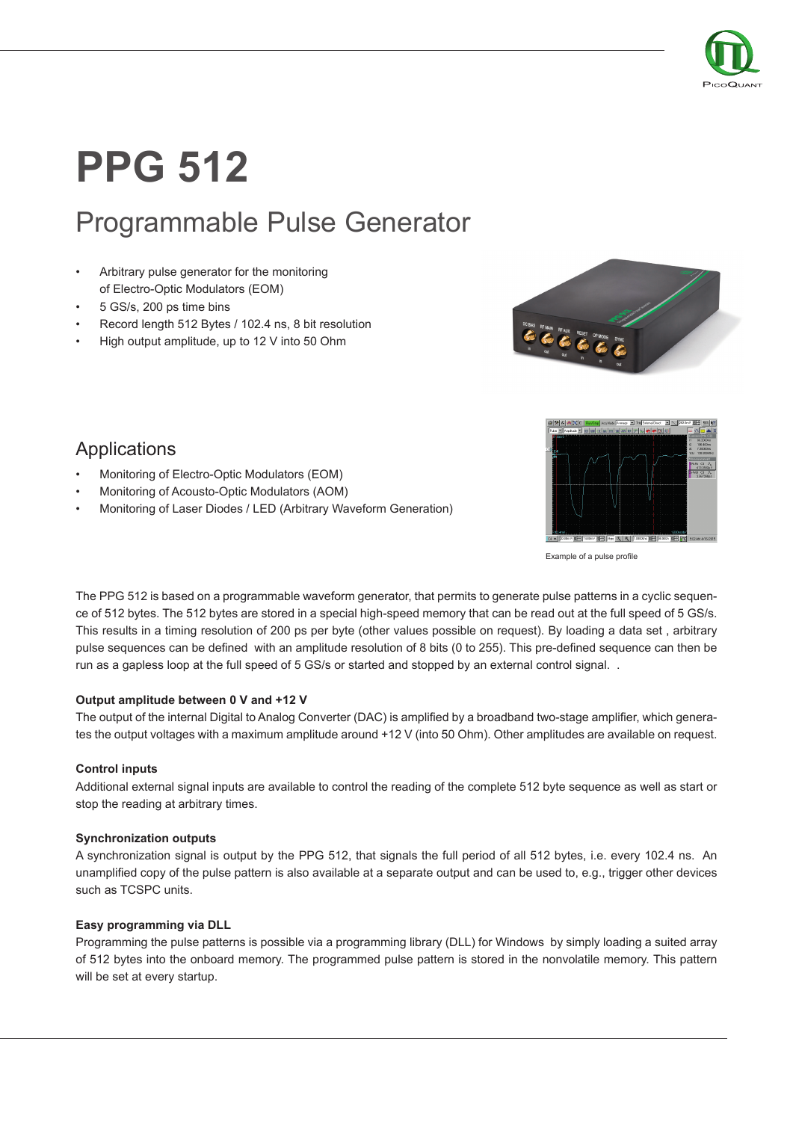

# **PPG 512**

# Programmable Pulse Generator

- Arbitrary pulse generator for the monitoring of Electro-Optic Modulators (EOM)
- 5 GS/s, 200 ps time bins
- Record length 512 Bytes / 102.4 ns, 8 bit resolution
- High output amplitude, up to 12 V into 50 Ohm





Example of a pulse profile

The PPG 512 is based on a programmable waveform generator, that permits to generate pulse patterns in a cyclic sequence of 512 bytes. The 512 bytes are stored in a special high-speed memory that can be read out at the full speed of 5 GS/s. This results in a timing resolution of 200 ps per byte (other values possible on request). By loading a data set , arbitrary pulse sequences can be defined with an amplitude resolution of 8 bits (0 to 255). This pre-defined sequence can then be run as a gapless loop at the full speed of 5 GS/s or started and stopped by an external control signal. .

#### **Output amplitude between 0 V and +12 V**

The output of the internal Digital to Analog Converter (DAC) is amplified by a broadband two-stage amplifier, which generates the output voltages with a maximum amplitude around +12 V (into 50 Ohm). Other amplitudes are available on request.

#### **Control inputs**

Additional external signal inputs are available to control the reading of the complete 512 byte sequence as well as start or stop the reading at arbitrary times.

#### **Synchronization outputs**

A synchronization signal is output by the PPG 512, that signals the full period of all 512 bytes, i.e. every 102.4 ns. An unamplified copy of the pulse pattern is also available at a separate output and can be used to, e.g., trigger other devices such as TCSPC units.

#### **Easy programming via DLL**

Programming the pulse patterns is possible via a programming library (DLL) for Windows by simply loading a suited array of 512 bytes into the onboard memory. The programmed pulse pattern is stored in the nonvolatile memory. This pattern will be set at every startup.

### Applications

- Monitoring of Electro-Optic Modulators (EOM)
- Monitoring of Acousto-Optic Modulators (AOM)
- Monitoring of Laser Diodes / LED (Arbitrary Waveform Generation)